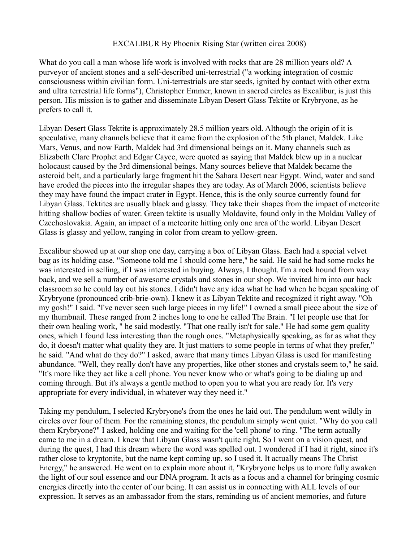## EXCALIBUR By Phoenix Rising Star (written circa 2008)

What do you call a man whose life work is involved with rocks that are 28 million years old? A purveyor of ancient stones and a self-described uni-terrestrial ("a working integration of cosmic consciousness within civilian form. Uni-terrestrials are star seeds, ignited by contact with other extra and ultra terrestrial life forms"), Christopher Emmer, known in sacred circles as Excalibur, is just this person. His mission is to gather and disseminate Libyan Desert Glass Tektite or Krybryone, as he prefers to call it.

Libyan Desert Glass Tektite is approximately 28.5 million years old. Although the origin of it is speculative, many channels believe that it came from the explosion of the 5th planet, Maldek. Like Mars, Venus, and now Earth, Maldek had 3rd dimensional beings on it. Many channels such as Elizabeth Clare Prophet and Edgar Cayce, were quoted as saying that Maldek blew up in a nuclear holocaust caused by the 3rd dimensional beings. Many sources believe that Maldek became the asteroid belt, and a particularly large fragment hit the Sahara Desert near Egypt. Wind, water and sand have eroded the pieces into the irregular shapes they are today. As of March 2006, scientists believe they may have found the impact crater in Egypt. Hence, this is the only source currently found for Libyan Glass. Tektites are usually black and glassy. They take their shapes from the impact of meteorite hitting shallow bodies of water. Green tektite is usually Moldavite, found only in the Moldau Valley of Czechoslovakia. Again, an impact of a meteorite hitting only one area of the world. Libyan Desert Glass is glassy and yellow, ranging in color from cream to yellow-green.

Excalibur showed up at our shop one day, carrying a box of Libyan Glass. Each had a special velvet bag as its holding case. "Someone told me I should come here," he said. He said he had some rocks he was interested in selling, if I was interested in buying. Always, I thought. I'm a rock hound from way back, and we sell a number of awesome crystals and stones in our shop. We invited him into our back classroom so he could lay out his stones. I didn't have any idea what he had when he began speaking of Krybryone (pronounced crib-brie-own). I knew it as Libyan Tektite and recognized it right away. "Oh my gosh!" I said. "I've never seen such large pieces in my life!" I owned a small piece about the size of my thumbnail. These ranged from 2 inches long to one he called The Brain. "I let people use that for their own healing work, " he said modestly. "That one really isn't for sale." He had some gem quality ones, which I found less interesting than the rough ones. "Metaphysically speaking, as far as what they do, it doesn't matter what quality they are. It just matters to some people in terms of what they prefer," he said. "And what do they do?" I asked, aware that many times Libyan Glass is used for manifesting abundance. "Well, they really don't have any properties, like other stones and crystals seem to," he said. "It's more like they act like a cell phone. You never know who or what's going to be dialing up and coming through. But it's always a gentle method to open you to what you are ready for. It's very appropriate for every individual, in whatever way they need it."

Taking my pendulum, I selected Krybryone's from the ones he laid out. The pendulum went wildly in circles over four of them. For the remaining stones, the pendulum simply went quiet. "Why do you call them Krybryone?" I asked, holding one and waiting for the 'cell phone' to ring. "The term actually came to me in a dream. I knew that Libyan Glass wasn't quite right. So I went on a vision quest, and during the quest, I had this dream where the word was spelled out. I wondered if I had it right, since it's rather close to kryptonite, but the name kept coming up, so I used it. It actually means The Christ Energy," he answered. He went on to explain more about it, "Krybryone helps us to more fully awaken the light of our soul essence and our DNA program. It acts as a focus and a channel for bringing cosmic energies directly into the center of our being. It can assist us in connecting with ALL levels of our expression. It serves as an ambassador from the stars, reminding us of ancient memories, and future